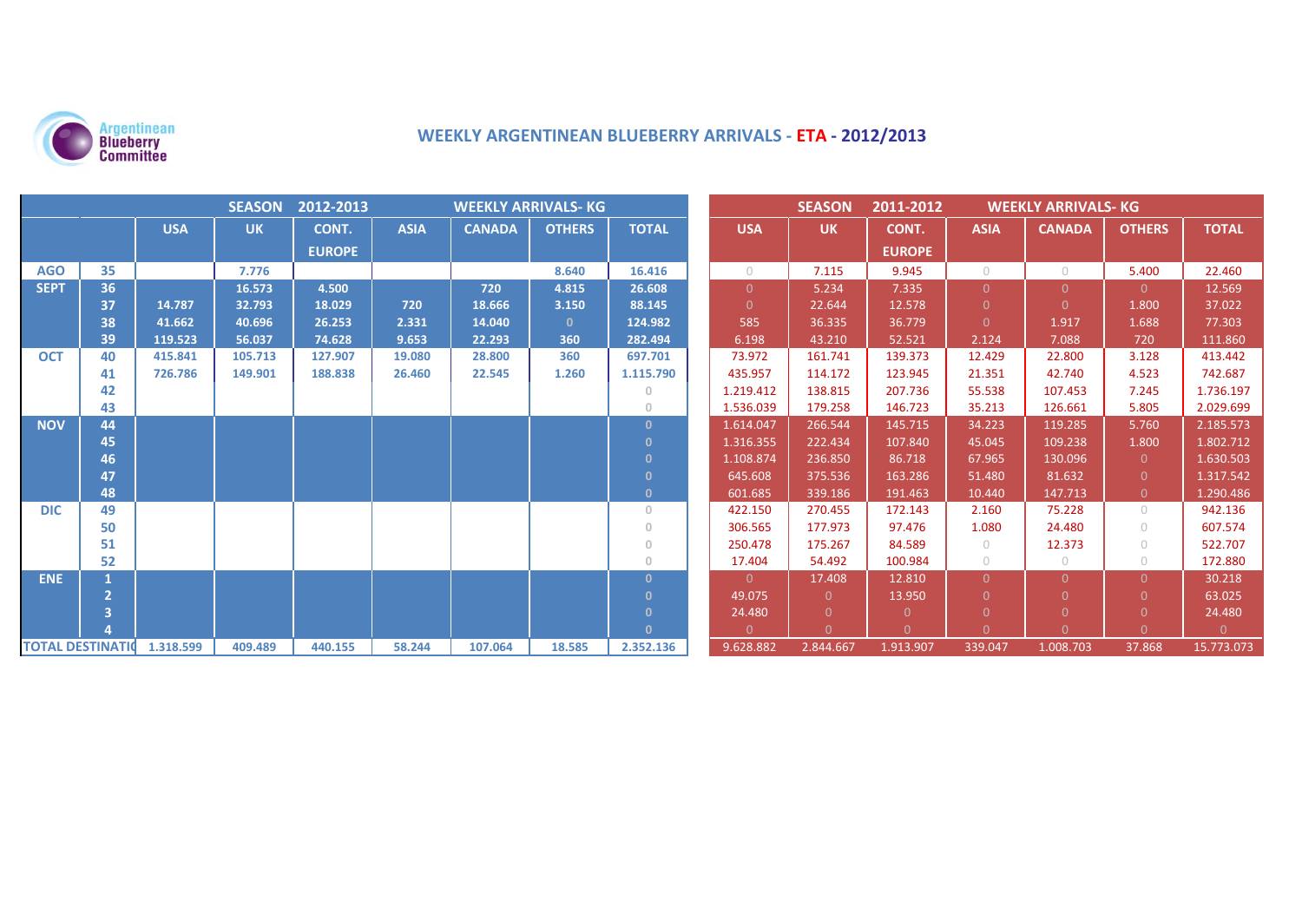

# **WEEKLY ARGENTINEAN BLUEBERRY ARRIVALS - ETA - 2012/2013**

| SEASON 2012-2013<br><b>WEEKLY ARRIVALS- KG</b> |    |            |           |               |             |               |               | <b>SEASON</b><br>2011-2012<br><b>WEEKLY ARRIVALS- KG</b> |                |           |               |             |               |                |              |
|------------------------------------------------|----|------------|-----------|---------------|-------------|---------------|---------------|----------------------------------------------------------|----------------|-----------|---------------|-------------|---------------|----------------|--------------|
|                                                |    | <b>USA</b> | <b>UK</b> | CONT.         | <b>ASIA</b> | <b>CANADA</b> | <b>OTHERS</b> | <b>TOTAL</b>                                             | <b>USA</b>     | <b>UK</b> | CONT.         | <b>ASIA</b> | <b>CANADA</b> | <b>OTHERS</b>  | <b>TOTAL</b> |
|                                                |    |            |           | <b>EUROPE</b> |             |               |               |                                                          |                |           | <b>EUROPE</b> |             |               |                |              |
| <b>AGO</b>                                     | 35 |            | 7.776     |               |             |               | 8.640         | 16.416                                                   | $\bigcap$      | 7.115     | 9.945         | $\bigcirc$  | $\bigcirc$    | 5.400          | 22.460       |
| <b>SEPT</b>                                    | 36 |            | 16.573    | 4.500         |             | 720           | 4.815         | 26.608                                                   | $\overline{0}$ | 5.234     | 7.335         | $\Omega$    | $\Omega$      | 0              | 12.569       |
|                                                | 37 | 14.787     | 32.793    | 18.029        | 720         | 18.666        | 3.150         | 88.145                                                   | $\Omega$       | 22.644    | 12.578        | $\Omega$    | $\Omega$      | 1.800          | 37.022       |
|                                                | 38 | 41.662     | 40.696    | 26.253        | 2.331       | 14.040        | $\mathbf{0}$  | 124.982                                                  | 585            | 36.335    | 36.779        | $\Omega$    | 1.917         | 1.688          | 77.303       |
|                                                | 39 | 119.523    | 56.037    | 74.628        | 9.653       | 22.293        | 360           | 282.494                                                  | 6.198          | 43.210    | 52.521        | 2.124       | 7.088         | 720            | 111.860      |
| <b>OCT</b>                                     | 40 | 415.841    | 105.713   | 127.907       | 19.080      | 28.800        | 360           | 697.701                                                  | 73.972         | 161.741   | 139.373       | 12.429      | 22.800        | 3.128          | 413.442      |
|                                                | 41 | 726.786    | 149.901   | 188.838       | 26.460      | 22.545        | 1.260         | 1.115.790                                                | 435.957        | 114.172   | 123.945       | 21.351      | 42.740        | 4.523          | 742.687      |
|                                                | 42 |            |           |               |             |               |               | $\circ$                                                  | 1.219.412      | 138.815   | 207.736       | 55.538      | 107.453       | 7.245          | 1.736.197    |
|                                                | 43 |            |           |               |             |               |               | $\circ$                                                  | 1.536.039      | 179.258   | 146.723       | 35.213      | 126.661       | 5.805          | 2.029.699    |
| <b>NOV</b>                                     | 44 |            |           |               |             |               |               | $\Omega$                                                 | 1.614.047      | 266.544   | 145.715       | 34.223      | 119.285       | 5.760          | 2.185.573    |
|                                                | 45 |            |           |               |             |               |               | $\mathbf{0}$                                             | 1.316.355      | 222.434   | 107.840       | 45.045      | 109.238       | 1.800          | 1.802.712    |
|                                                | 46 |            |           |               |             |               |               | $\mathbf{0}$                                             | 1.108.874      | 236.850   | 86.718        | 67.965      | 130.096       | $\overline{0}$ | 1.630.503    |
|                                                | 47 |            |           |               |             |               |               | $\mathbf{0}$                                             | 645.608        | 375.536   | 163.286       | 51.480      | 81.632        | $\Omega$       | 1.317.542    |
|                                                | 48 |            |           |               |             |               |               | $\mathbf{0}$                                             | 601.685        | 339.186   | 191.463       | 10.440      | 147.713       | $\overline{0}$ | 1.290.486    |
| <b>DIC</b>                                     | 49 |            |           |               |             |               |               | $\circ$                                                  | 422.150        | 270.455   | 172.143       | 2.160       | 75.228        | $\circ$        | 942.136      |
|                                                | 50 |            |           |               |             |               |               | $\Omega$                                                 | 306.565        | 177.973   | 97.476        | 1.080       | 24.480        | $\bigcirc$     | 607.574      |
|                                                | 51 |            |           |               |             |               |               | $\mathbf{0}$                                             | 250.478        | 175.267   | 84.589        | $\bigcirc$  | 12.373        | $\circ$        | 522.707      |
|                                                | 52 |            |           |               |             |               |               | $\circ$                                                  | 17.404         | 54.492    | 100.984       | $\circ$     | $\circ$       | $\bigcirc$     | 172.880      |
| <b>ENE</b>                                     |    |            |           |               |             |               |               | $\Omega$                                                 | $\Omega$       | 17.408    | 12.810        | $\Omega$    | $\Omega$      | $\Omega$       | 30.218       |
|                                                |    |            |           |               |             |               |               | $\mathbf{0}$                                             | 49.075         | $\Omega$  | 13.950        | $\Omega$    | $\Omega$      | $\Omega$       | 63.025       |
|                                                |    |            |           |               |             |               |               | $\mathbf{0}$                                             | 24.480         | $\Omega$  | $\Omega$      | $\Omega$    | $\Omega$      | $\Omega$       | 24.480       |
|                                                |    |            |           |               |             |               |               | $\mathbf{0}$                                             | $\Omega$       | $\Omega$  | $\Omega$      | $\Omega$    | $\Omega$      | $\Omega$       | $\Omega$     |
| <b>TOTAL DESTINATION</b>                       |    | 1.318.599  | 409.489   | 440.155       | 58.244      | 107.064       | 18.585        | 2.352.136                                                | 9.628.882      | 2.844.667 | 1.913.907     | 339.047     | 1.008.703     | 37.868         | 15.773.073   |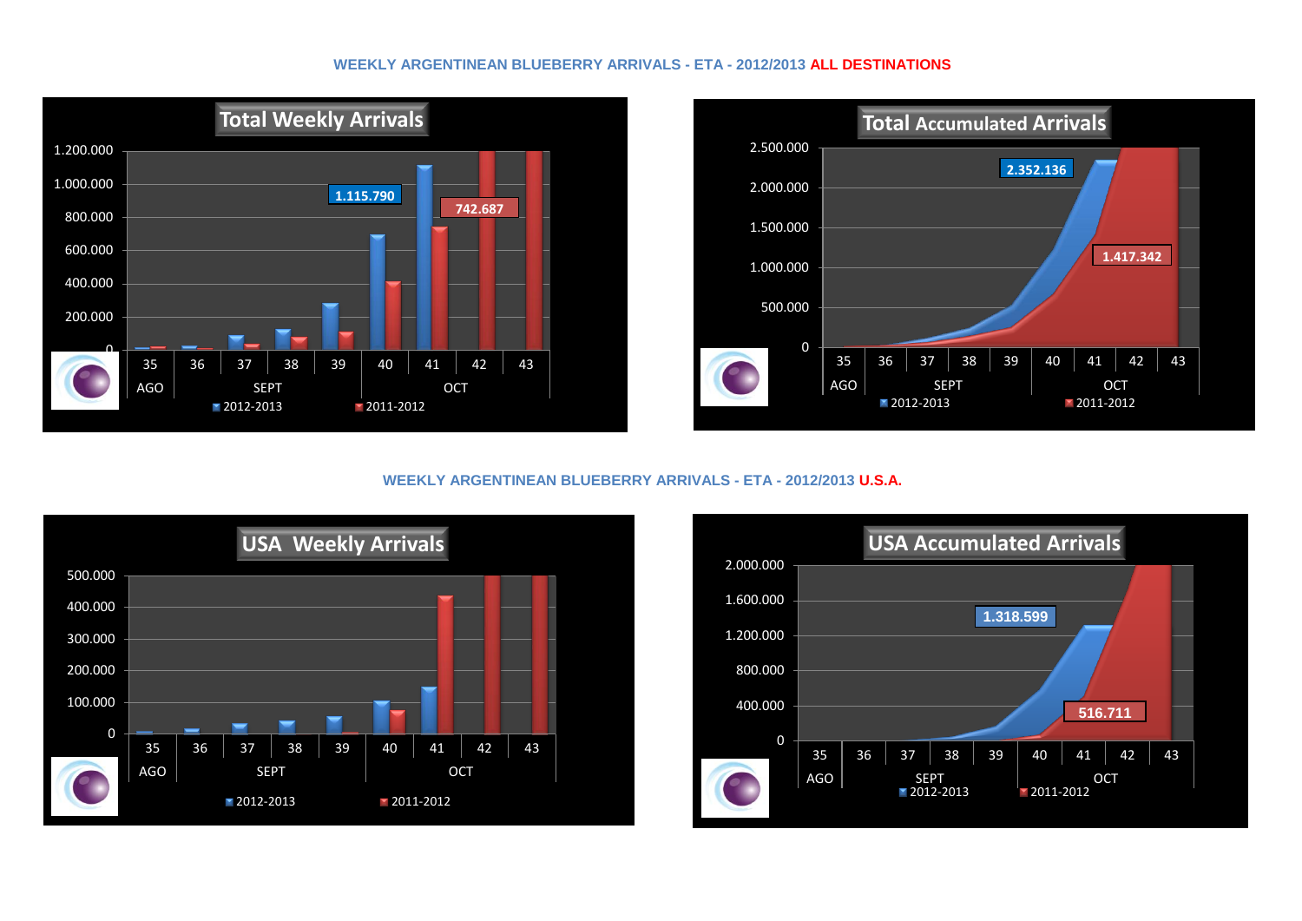#### **WEEKLY ARGENTINEAN BLUEBERRY ARRIVALS - ETA - 2012/2013 ALL DESTINATIONS**





### **WEEKLY ARGENTINEAN BLUEBERRY ARRIVALS - ETA - 2012/2013 U.S.A.**



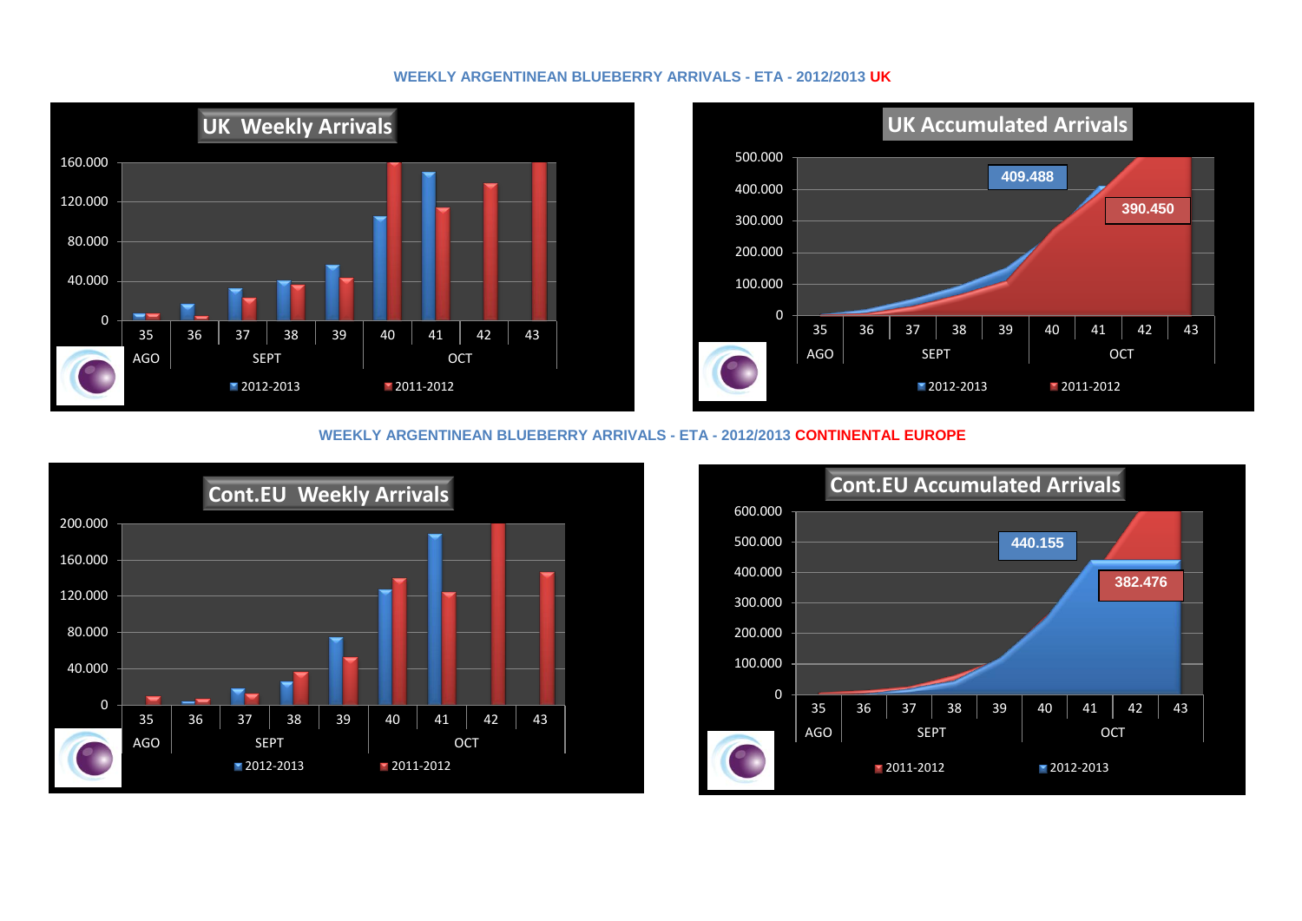#### **WEEKLY ARGENTINEAN BLUEBERRY ARRIVALS - ETA - 2012/2013 UK**





#### **WEEKLY ARGENTINEAN BLUEBERRY ARRIVALS - ETA - 2012/2013 CONTINENTAL EUROPE**